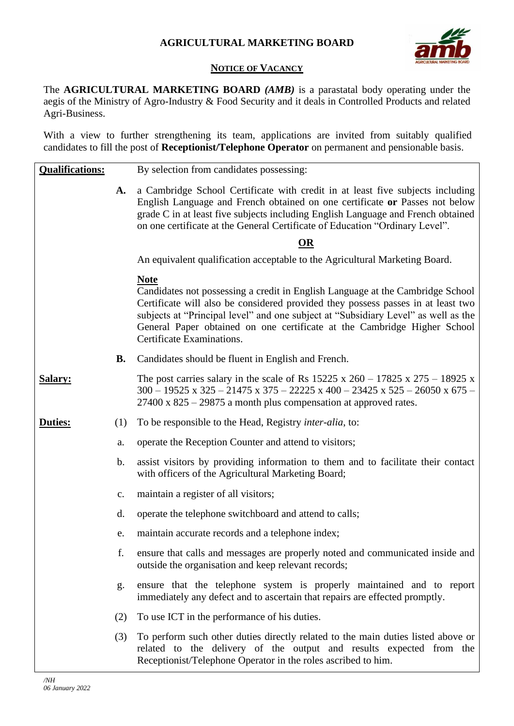

## **NOTICE OF VACANCY**

The **AGRICULTURAL MARKETING BOARD** *(AMB)* is a parastatal body operating under the aegis of the Ministry of Agro-Industry & Food Security and it deals in Controlled Products and related Agri-Business.

With a view to further strengthening its team, applications are invited from suitably qualified candidates to fill the post of **Receptionist/Telephone Operator** on permanent and pensionable basis.

| <b>Qualifications:</b> |                | By selection from candidates possessing:                                                                                                                                                                                                                                                                                                                                         |
|------------------------|----------------|----------------------------------------------------------------------------------------------------------------------------------------------------------------------------------------------------------------------------------------------------------------------------------------------------------------------------------------------------------------------------------|
|                        | A.             | a Cambridge School Certificate with credit in at least five subjects including<br>English Language and French obtained on one certificate or Passes not below<br>grade C in at least five subjects including English Language and French obtained<br>on one certificate at the General Certificate of Education "Ordinary Level".                                                |
|                        |                | OR                                                                                                                                                                                                                                                                                                                                                                               |
|                        |                | An equivalent qualification acceptable to the Agricultural Marketing Board.                                                                                                                                                                                                                                                                                                      |
|                        |                | <b>Note</b><br>Candidates not possessing a credit in English Language at the Cambridge School<br>Certificate will also be considered provided they possess passes in at least two<br>subjects at "Principal level" and one subject at "Subsidiary Level" as well as the<br>General Paper obtained on one certificate at the Cambridge Higher School<br>Certificate Examinations. |
|                        | <b>B.</b>      | Candidates should be fluent in English and French.                                                                                                                                                                                                                                                                                                                               |
| <b>Salary:</b>         |                | The post carries salary in the scale of Rs $15225 \times 260 - 17825 \times 275 - 18925 \times$<br>$300 - 19525$ x $325 - 21475$ x $375 - 22225$ x $400 - 23425$ x $525 - 26050$ x $675 -$<br>$27400 \times 825 - 29875$ a month plus compensation at approved rates.                                                                                                            |
| Duties:                | (1)            | To be responsible to the Head, Registry <i>inter-alia</i> , to:                                                                                                                                                                                                                                                                                                                  |
|                        | a.             | operate the Reception Counter and attend to visitors;                                                                                                                                                                                                                                                                                                                            |
|                        | b.             | assist visitors by providing information to them and to facilitate their contact<br>with officers of the Agricultural Marketing Board;                                                                                                                                                                                                                                           |
|                        | $\mathbf{c}$ . | maintain a register of all visitors;                                                                                                                                                                                                                                                                                                                                             |
|                        | d.             | operate the telephone switchboard and attend to calls;                                                                                                                                                                                                                                                                                                                           |
|                        | e.             | maintain accurate records and a telephone index;                                                                                                                                                                                                                                                                                                                                 |
|                        | f.             | ensure that calls and messages are properly noted and communicated inside and<br>outside the organisation and keep relevant records;                                                                                                                                                                                                                                             |
|                        | g.             | ensure that the telephone system is properly maintained and to report<br>immediately any defect and to ascertain that repairs are effected promptly.                                                                                                                                                                                                                             |
|                        | (2)            | To use ICT in the performance of his duties.                                                                                                                                                                                                                                                                                                                                     |
|                        | (3)            | To perform such other duties directly related to the main duties listed above or<br>related to the delivery of the output and results expected from the<br>Receptionist/Telephone Operator in the roles ascribed to him.                                                                                                                                                         |